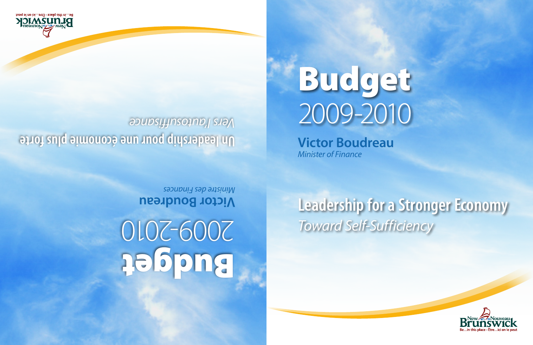# Budget 2009-2010

**Victor Boudreau** *Minister of Finance*

# **Leadership for a Stronger Economy** *Toward Self-Sufficiency*

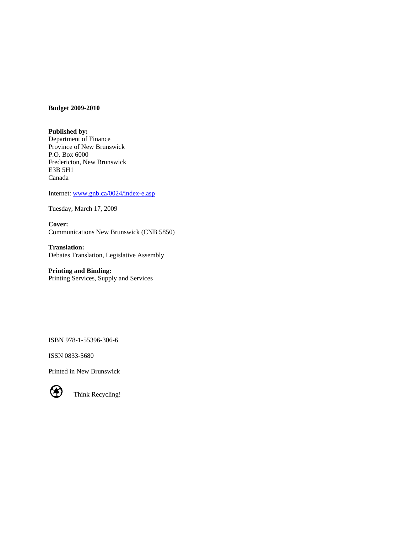#### **Budget 2009-2010**

#### **Published by:**

Department of Finance Province of New Brunswick P.O. Box 6000 Fredericton, New Brunswick E3B 5H1 Canada

Internet: [www.gnb.ca/0024/index-e.asp](http://www.gnb.ca/0024/index-e.asp)

Tuesday, March 17, 2009

**Cover:**  Communications New Brunswick (CNB 5850)

**Translation:**  Debates Translation, Legislative Assembly

**Printing and Binding:**  Printing Services, Supply and Services

ISBN 978-1-55396-306-6

ISSN 0833-5680

Printed in New Brunswick



Think Recycling!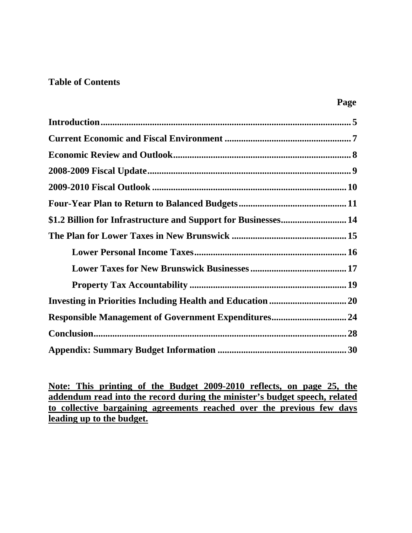# **Table of Contents**

| \$1.2 Billion for Infrastructure and Support for Businesses 14 |
|----------------------------------------------------------------|
|                                                                |
|                                                                |
|                                                                |
|                                                                |
|                                                                |
|                                                                |
|                                                                |
|                                                                |

**Note: This printing of the Budget 2009-2010 reflects, on page 25, the addendum read into the record during the minister's budget speech, related to collective bargaining agreements reached over the previous few days leading up to the budget.**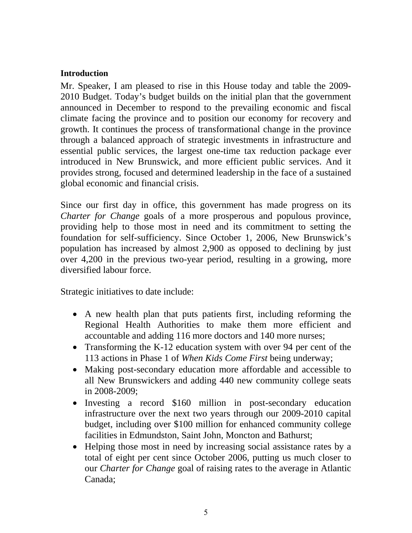#### <span id="page-4-0"></span>**Introduction**

Mr. Speaker, I am pleased to rise in this House today and table the 2009- 2010 Budget. Today's budget builds on the initial plan that the government announced in December to respond to the prevailing economic and fiscal climate facing the province and to position our economy for recovery and growth. It continues the process of transformational change in the province through a balanced approach of strategic investments in infrastructure and essential public services, the largest one-time tax reduction package ever introduced in New Brunswick, and more efficient public services. And it provides strong, focused and determined leadership in the face of a sustained global economic and financial crisis.

Since our first day in office, this government has made progress on its *Charter for Change* goals of a more prosperous and populous province, providing help to those most in need and its commitment to setting the foundation for self-sufficiency. Since October 1, 2006, New Brunswick's population has increased by almost 2,900 as opposed to declining by just over 4,200 in the previous two-year period, resulting in a growing, more diversified labour force.

Strategic initiatives to date include:

- A new health plan that puts patients first, including reforming the Regional Health Authorities to make them more efficient and accountable and adding 116 more doctors and 140 more nurses;
- Transforming the K-12 education system with over 94 per cent of the 113 actions in Phase 1 of *When Kids Come First* being underway;
- Making post-secondary education more affordable and accessible to all New Brunswickers and adding 440 new community college seats in 2008-2009;
- Investing a record \$160 million in post-secondary education infrastructure over the next two years through our 2009-2010 capital budget, including over \$100 million for enhanced community college facilities in Edmundston, Saint John, Moncton and Bathurst;
- Helping those most in need by increasing social assistance rates by a total of eight per cent since October 2006, putting us much closer to our *Charter for Change* goal of raising rates to the average in Atlantic Canada;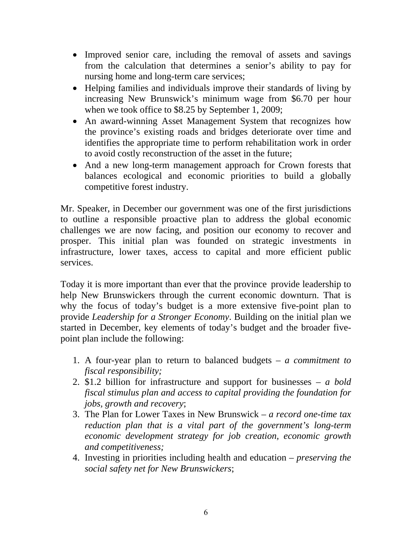- Improved senior care, including the removal of assets and savings from the calculation that determines a senior's ability to pay for nursing home and long-term care services;
- Helping families and individuals improve their standards of living by increasing New Brunswick's minimum wage from \$6.70 per hour when we took office to \$8.25 by September 1, 2009;
- An award-winning Asset Management System that recognizes how the province's existing roads and bridges deteriorate over time and identifies the appropriate time to perform rehabilitation work in order to avoid costly reconstruction of the asset in the future;
- And a new long-term management approach for Crown forests that balances ecological and economic priorities to build a globally competitive forest industry.

Mr. Speaker, in December our government was one of the first jurisdictions to outline a responsible proactive plan to address the global economic challenges we are now facing, and position our economy to recover and prosper. This initial plan was founded on strategic investments in infrastructure, lower taxes, access to capital and more efficient public services.

Today it is more important than ever that the province provide leadership to help New Brunswickers through the current economic downturn. That is why the focus of today's budget is a more extensive five-point plan to provide *Leadership for a Stronger Economy*. Building on the initial plan we started in December, key elements of today's budget and the broader fivepoint plan include the following:

- 1. A four-year plan to return to balanced budgets *a commitment to fiscal responsibility;*
- 2. \$1.2 billion for infrastructure and support for businesses *a bold fiscal stimulus plan and access to capital providing the foundation for jobs, growth and recovery*;
- 3. The Plan for Lower Taxes in New Brunswick *a record one-time tax reduction plan that is a vital part of the government's long-term economic development strategy for job creation, economic growth and competitiveness;*
- 4. Investing in priorities including health and education *preserving the social safety net for New Brunswickers*;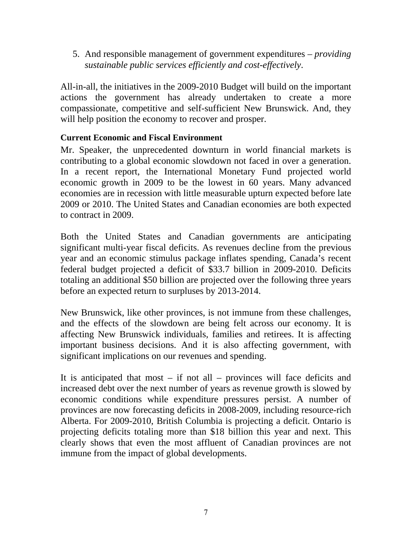<span id="page-6-0"></span>5. And responsible management of government expenditures – *providing sustainable public services efficiently and cost-effectively*.

All-in-all, the initiatives in the 2009-2010 Budget will build on the important actions the government has already undertaken to create a more compassionate, competitive and self-sufficient New Brunswick. And, they will help position the economy to recover and prosper.

# **Current Economic and Fiscal Environment**

Mr. Speaker, the unprecedented downturn in world financial markets is contributing to a global economic slowdown not faced in over a generation. In a recent report, the International Monetary Fund projected world economic growth in 2009 to be the lowest in 60 years. Many advanced economies are in recession with little measurable upturn expected before late 2009 or 2010. The United States and Canadian economies are both expected to contract in 2009.

Both the United States and Canadian governments are anticipating significant multi-year fiscal deficits. As revenues decline from the previous year and an economic stimulus package inflates spending, Canada's recent federal budget projected a deficit of \$33.7 billion in 2009-2010. Deficits totaling an additional \$50 billion are projected over the following three years before an expected return to surpluses by 2013-2014.

New Brunswick, like other provinces, is not immune from these challenges, and the effects of the slowdown are being felt across our economy. It is affecting New Brunswick individuals, families and retirees. It is affecting important business decisions. And it is also affecting government, with significant implications on our revenues and spending.

It is anticipated that most – if not all – provinces will face deficits and increased debt over the next number of years as revenue growth is slowed by economic conditions while expenditure pressures persist. A number of provinces are now forecasting deficits in 2008-2009, including resource-rich Alberta. For 2009-2010, British Columbia is projecting a deficit. Ontario is projecting deficits totaling more than \$18 billion this year and next. This clearly shows that even the most affluent of Canadian provinces are not immune from the impact of global developments.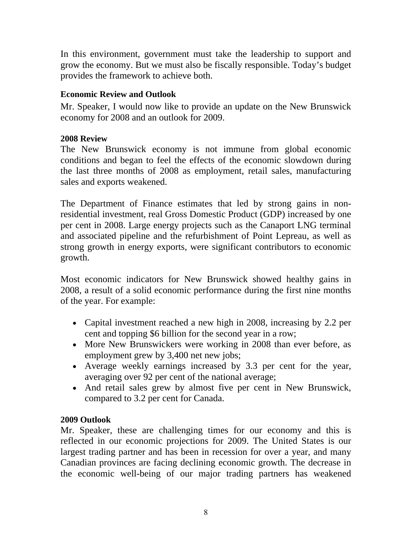<span id="page-7-0"></span>In this environment, government must take the leadership to support and grow the economy. But we must also be fiscally responsible. Today's budget provides the framework to achieve both.

# **Economic Review and Outlook**

Mr. Speaker, I would now like to provide an update on the New Brunswick economy for 2008 and an outlook for 2009.

# **2008 Review**

The New Brunswick economy is not immune from global economic conditions and began to feel the effects of the economic slowdown during the last three months of 2008 as employment, retail sales, manufacturing sales and exports weakened.

The Department of Finance estimates that led by strong gains in nonresidential investment, real Gross Domestic Product (GDP) increased by one per cent in 2008. Large energy projects such as the Canaport LNG terminal and associated pipeline and the refurbishment of Point Lepreau, as well as strong growth in energy exports, were significant contributors to economic growth.

Most economic indicators for New Brunswick showed healthy gains in 2008, a result of a solid economic performance during the first nine months of the year. For example:

- Capital investment reached a new high in 2008, increasing by 2.2 per cent and topping \$6 billion for the second year in a row;
- More New Brunswickers were working in 2008 than ever before, as employment grew by 3,400 net new jobs;
- Average weekly earnings increased by 3.3 per cent for the year, averaging over 92 per cent of the national average;
- And retail sales grew by almost five per cent in New Brunswick, compared to 3.2 per cent for Canada.

# **2009 Outlook**

Mr. Speaker, these are challenging times for our economy and this is reflected in our economic projections for 2009. The United States is our largest trading partner and has been in recession for over a year, and many Canadian provinces are facing declining economic growth. The decrease in the economic well-being of our major trading partners has weakened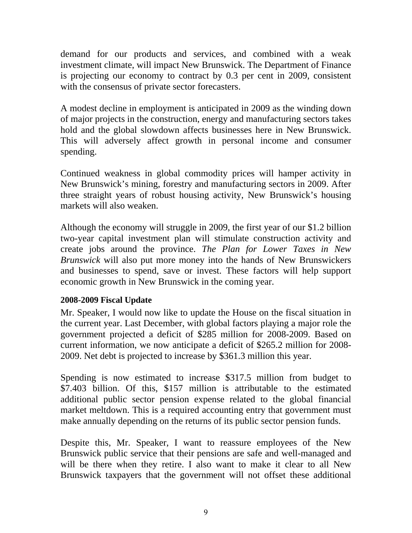<span id="page-8-0"></span>demand for our products and services, and combined with a weak investment climate, will impact New Brunswick. The Department of Finance is projecting our economy to contract by 0.3 per cent in 2009, consistent with the consensus of private sector forecasters.

A modest decline in employment is anticipated in 2009 as the winding down of major projects in the construction, energy and manufacturing sectors takes hold and the global slowdown affects businesses here in New Brunswick. This will adversely affect growth in personal income and consumer spending.

Continued weakness in global commodity prices will hamper activity in New Brunswick's mining, forestry and manufacturing sectors in 2009. After three straight years of robust housing activity, New Brunswick's housing markets will also weaken.

Although the economy will struggle in 2009, the first year of our \$1.2 billion two-year capital investment plan will stimulate construction activity and create jobs around the province. *The Plan for Lower Taxes in New Brunswick* will also put more money into the hands of New Brunswickers and businesses to spend, save or invest. These factors will help support economic growth in New Brunswick in the coming year.

# **2008-2009 Fiscal Update**

Mr. Speaker, I would now like to update the House on the fiscal situation in the current year. Last December, with global factors playing a major role the government projected a deficit of \$285 million for 2008-2009. Based on current information, we now anticipate a deficit of \$265.2 million for 2008- 2009. Net debt is projected to increase by \$361.3 million this year.

Spending is now estimated to increase \$317.5 million from budget to \$7.403 billion. Of this, \$157 million is attributable to the estimated additional public sector pension expense related to the global financial market meltdown. This is a required accounting entry that government must make annually depending on the returns of its public sector pension funds.

Despite this, Mr. Speaker, I want to reassure employees of the New Brunswick public service that their pensions are safe and well-managed and will be there when they retire. I also want to make it clear to all New Brunswick taxpayers that the government will not offset these additional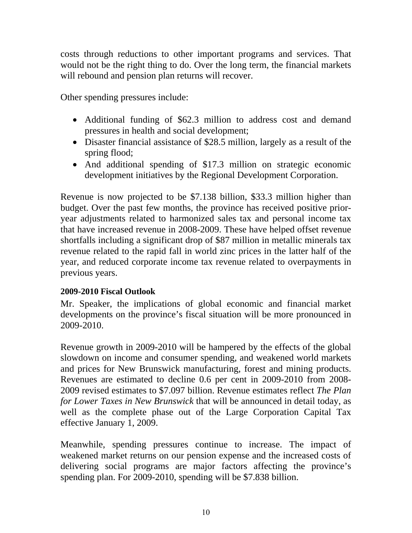<span id="page-9-0"></span>costs through reductions to other important programs and services. That would not be the right thing to do. Over the long term, the financial markets will rebound and pension plan returns will recover.

Other spending pressures include:

- Additional funding of \$62.3 million to address cost and demand pressures in health and social development;
- Disaster financial assistance of \$28.5 million, largely as a result of the spring flood;
- And additional spending of \$17.3 million on strategic economic development initiatives by the Regional Development Corporation.

Revenue is now projected to be \$7.138 billion, \$33.3 million higher than budget. Over the past few months, the province has received positive prioryear adjustments related to harmonized sales tax and personal income tax that have increased revenue in 2008-2009. These have helped offset revenue shortfalls including a significant drop of \$87 million in metallic minerals tax revenue related to the rapid fall in world zinc prices in the latter half of the year, and reduced corporate income tax revenue related to overpayments in previous years.

# **2009-2010 Fiscal Outlook**

Mr. Speaker, the implications of global economic and financial market developments on the province's fiscal situation will be more pronounced in 2009-2010.

Revenue growth in 2009-2010 will be hampered by the effects of the global slowdown on income and consumer spending, and weakened world markets and prices for New Brunswick manufacturing, forest and mining products. Revenues are estimated to decline 0.6 per cent in 2009-2010 from 2008- 2009 revised estimates to \$7.097 billion. Revenue estimates reflect *The Plan for Lower Taxes in New Brunswick* that will be announced in detail today, as well as the complete phase out of the Large Corporation Capital Tax effective January 1, 2009.

Meanwhile, spending pressures continue to increase. The impact of weakened market returns on our pension expense and the increased costs of delivering social programs are major factors affecting the province's spending plan. For 2009-2010, spending will be \$7.838 billion.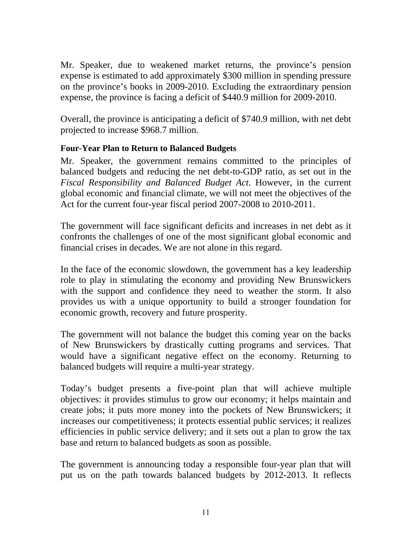<span id="page-10-0"></span>Mr. Speaker, due to weakened market returns, the province's pension expense is estimated to add approximately \$300 million in spending pressure on the province's books in 2009-2010. Excluding the extraordinary pension expense, the province is facing a deficit of \$440.9 million for 2009-2010.

Overall, the province is anticipating a deficit of \$740.9 million, with net debt projected to increase \$968.7 million.

# **Four-Year Plan to Return to Balanced Budgets**

Mr. Speaker, the government remains committed to the principles of balanced budgets and reducing the net debt-to-GDP ratio, as set out in the *Fiscal Responsibility and Balanced Budget Act*. However, in the current global economic and financial climate, we will not meet the objectives of the Act for the current four-year fiscal period 2007-2008 to 2010-2011.

The government will face significant deficits and increases in net debt as it confronts the challenges of one of the most significant global economic and financial crises in decades. We are not alone in this regard.

In the face of the economic slowdown, the government has a key leadership role to play in stimulating the economy and providing New Brunswickers with the support and confidence they need to weather the storm. It also provides us with a unique opportunity to build a stronger foundation for economic growth, recovery and future prosperity.

The government will not balance the budget this coming year on the backs of New Brunswickers by drastically cutting programs and services. That would have a significant negative effect on the economy. Returning to balanced budgets will require a multi-year strategy.

Today's budget presents a five-point plan that will achieve multiple objectives: it provides stimulus to grow our economy; it helps maintain and create jobs; it puts more money into the pockets of New Brunswickers; it increases our competitiveness; it protects essential public services; it realizes efficiencies in public service delivery; and it sets out a plan to grow the tax base and return to balanced budgets as soon as possible.

The government is announcing today a responsible four-year plan that will put us on the path towards balanced budgets by 2012-2013. It reflects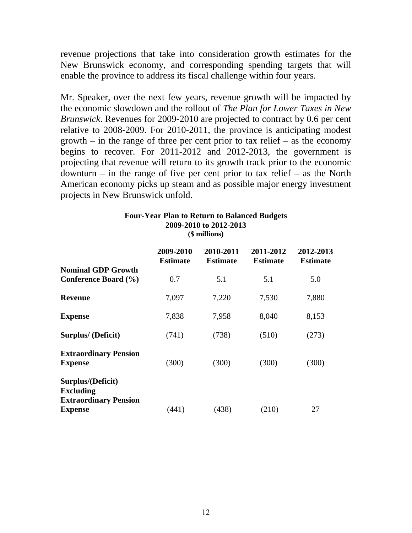revenue projections that take into consideration growth estimates for the New Brunswick economy, and corresponding spending targets that will enable the province to address its fiscal challenge within four years.

Mr. Speaker, over the next few years, revenue growth will be impacted by the economic slowdown and the rollout of *The Plan for Lower Taxes in New Brunswick*. Revenues for 2009-2010 are projected to contract by 0.6 per cent relative to 2008-2009. For 2010-2011, the province is anticipating modest growth – in the range of three per cent prior to tax relief – as the economy begins to recover. For 2011-2012 and 2012-2013, the government is projecting that revenue will return to its growth track prior to the economic downturn – in the range of five per cent prior to tax relief – as the North American economy picks up steam and as possible major energy investment projects in New Brunswick unfold.

| 2009-2010 to 2012-2013<br>(\$ millions)                                                 |                              |                              |                              |                              |
|-----------------------------------------------------------------------------------------|------------------------------|------------------------------|------------------------------|------------------------------|
|                                                                                         | 2009-2010<br><b>Estimate</b> | 2010-2011<br><b>Estimate</b> | 2011-2012<br><b>Estimate</b> | 2012-2013<br><b>Estimate</b> |
| <b>Nominal GDP Growth</b><br>Conference Board (%)                                       | 0.7                          | 5.1                          | 5.1                          | 5.0                          |
| <b>Revenue</b>                                                                          | 7,097                        | 7,220                        | 7,530                        | 7,880                        |
| <b>Expense</b>                                                                          | 7,838                        | 7,958                        | 8,040                        | 8,153                        |
| <b>Surplus/ (Deficit)</b>                                                               | (741)                        | (738)                        | (510)                        | (273)                        |
| <b>Extraordinary Pension</b><br><b>Expense</b>                                          | (300)                        | (300)                        | (300)                        | (300)                        |
| Surplus/(Deficit)<br><b>Excluding</b><br><b>Extraordinary Pension</b><br><b>Expense</b> | (441)                        | (438)                        | (210)                        | 27                           |

# **Four-Year Plan to Return to Balanced Budgets 2009-2010 to 2012-2013**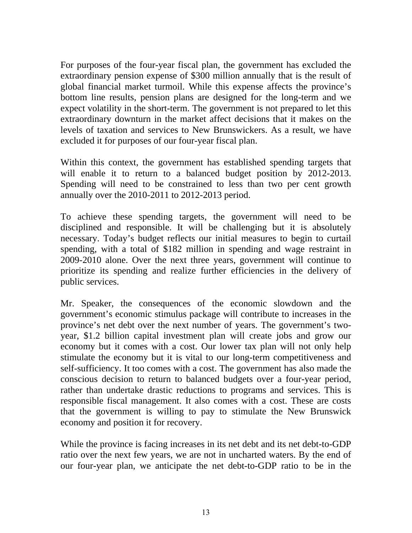For purposes of the four-year fiscal plan, the government has excluded the extraordinary pension expense of \$300 million annually that is the result of global financial market turmoil. While this expense affects the province's bottom line results, pension plans are designed for the long-term and we expect volatility in the short-term. The government is not prepared to let this extraordinary downturn in the market affect decisions that it makes on the levels of taxation and services to New Brunswickers. As a result, we have excluded it for purposes of our four-year fiscal plan.

Within this context, the government has established spending targets that will enable it to return to a balanced budget position by 2012-2013. Spending will need to be constrained to less than two per cent growth annually over the 2010-2011 to 2012-2013 period.

To achieve these spending targets, the government will need to be disciplined and responsible. It will be challenging but it is absolutely necessary. Today's budget reflects our initial measures to begin to curtail spending, with a total of \$182 million in spending and wage restraint in 2009-2010 alone. Over the next three years, government will continue to prioritize its spending and realize further efficiencies in the delivery of public services.

Mr. Speaker, the consequences of the economic slowdown and the government's economic stimulus package will contribute to increases in the province's net debt over the next number of years. The government's twoyear, \$1.2 billion capital investment plan will create jobs and grow our economy but it comes with a cost. Our lower tax plan will not only help stimulate the economy but it is vital to our long-term competitiveness and self-sufficiency. It too comes with a cost. The government has also made the conscious decision to return to balanced budgets over a four-year period, rather than undertake drastic reductions to programs and services. This is responsible fiscal management. It also comes with a cost. These are costs that the government is willing to pay to stimulate the New Brunswick economy and position it for recovery.

While the province is facing increases in its net debt and its net debt-to-GDP ratio over the next few years, we are not in uncharted waters. By the end of our four-year plan, we anticipate the net debt-to-GDP ratio to be in the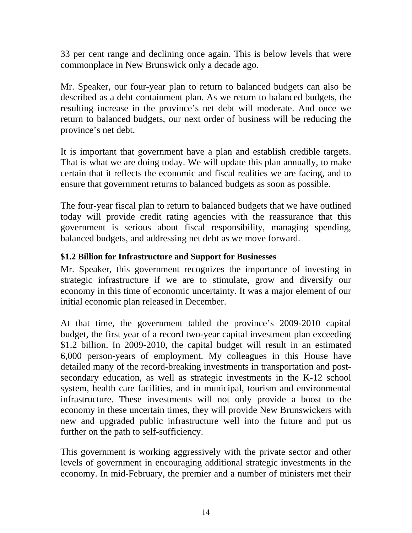<span id="page-13-0"></span>33 per cent range and declining once again. This is below levels that were commonplace in New Brunswick only a decade ago.

Mr. Speaker, our four-year plan to return to balanced budgets can also be described as a debt containment plan. As we return to balanced budgets, the resulting increase in the province's net debt will moderate. And once we return to balanced budgets, our next order of business will be reducing the province's net debt.

It is important that government have a plan and establish credible targets. That is what we are doing today. We will update this plan annually, to make certain that it reflects the economic and fiscal realities we are facing, and to ensure that government returns to balanced budgets as soon as possible.

The four-year fiscal plan to return to balanced budgets that we have outlined today will provide credit rating agencies with the reassurance that this government is serious about fiscal responsibility, managing spending, balanced budgets, and addressing net debt as we move forward.

# **\$1.2 Billion for Infrastructure and Support for Businesses**

Mr. Speaker, this government recognizes the importance of investing in strategic infrastructure if we are to stimulate, grow and diversify our economy in this time of economic uncertainty. It was a major element of our initial economic plan released in December.

At that time, the government tabled the province's 2009-2010 capital budget, the first year of a record two-year capital investment plan exceeding \$1.2 billion. In 2009-2010, the capital budget will result in an estimated 6,000 person-years of employment. My colleagues in this House have detailed many of the record-breaking investments in transportation and postsecondary education, as well as strategic investments in the K-12 school system, health care facilities, and in municipal, tourism and environmental infrastructure. These investments will not only provide a boost to the economy in these uncertain times, they will provide New Brunswickers with new and upgraded public infrastructure well into the future and put us further on the path to self-sufficiency.

This government is working aggressively with the private sector and other levels of government in encouraging additional strategic investments in the economy. In mid-February, the premier and a number of ministers met their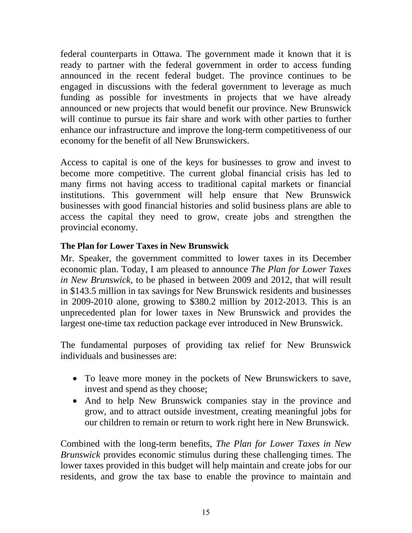<span id="page-14-0"></span>federal counterparts in Ottawa. The government made it known that it is ready to partner with the federal government in order to access funding announced in the recent federal budget. The province continues to be engaged in discussions with the federal government to leverage as much funding as possible for investments in projects that we have already announced or new projects that would benefit our province. New Brunswick will continue to pursue its fair share and work with other parties to further enhance our infrastructure and improve the long-term competitiveness of our economy for the benefit of all New Brunswickers.

Access to capital is one of the keys for businesses to grow and invest to become more competitive. The current global financial crisis has led to many firms not having access to traditional capital markets or financial institutions. This government will help ensure that New Brunswick businesses with good financial histories and solid business plans are able to access the capital they need to grow, create jobs and strengthen the provincial economy.

# **The Plan for Lower Taxes in New Brunswick**

Mr. Speaker, the government committed to lower taxes in its December economic plan. Today, I am pleased to announce *The Plan for Lower Taxes in New Brunswick*, to be phased in between 2009 and 2012, that will result in \$143.5 million in tax savings for New Brunswick residents and businesses in 2009-2010 alone, growing to \$380.2 million by 2012-2013. This is an unprecedented plan for lower taxes in New Brunswick and provides the largest one-time tax reduction package ever introduced in New Brunswick.

The fundamental purposes of providing tax relief for New Brunswick individuals and businesses are:

- To leave more money in the pockets of New Brunswickers to save, invest and spend as they choose;
- And to help New Brunswick companies stay in the province and grow, and to attract outside investment, creating meaningful jobs for our children to remain or return to work right here in New Brunswick.

Combined with the long-term benefits, *The Plan for Lower Taxes in New Brunswick* provides economic stimulus during these challenging times. The lower taxes provided in this budget will help maintain and create jobs for our residents, and grow the tax base to enable the province to maintain and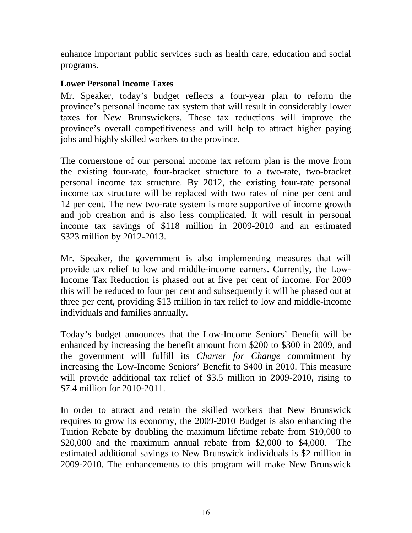<span id="page-15-0"></span>enhance important public services such as health care, education and social programs.

# **Lower Personal Income Taxes**

Mr. Speaker, today's budget reflects a four-year plan to reform the province's personal income tax system that will result in considerably lower taxes for New Brunswickers. These tax reductions will improve the province's overall competitiveness and will help to attract higher paying jobs and highly skilled workers to the province.

The cornerstone of our personal income tax reform plan is the move from the existing four-rate, four-bracket structure to a two-rate, two-bracket personal income tax structure. By 2012, the existing four-rate personal income tax structure will be replaced with two rates of nine per cent and 12 per cent. The new two-rate system is more supportive of income growth and job creation and is also less complicated. It will result in personal income tax savings of \$118 million in 2009-2010 and an estimated \$323 million by 2012-2013.

Mr. Speaker, the government is also implementing measures that will provide tax relief to low and middle-income earners. Currently, the Low-Income Tax Reduction is phased out at five per cent of income. For 2009 this will be reduced to four per cent and subsequently it will be phased out at three per cent, providing \$13 million in tax relief to low and middle-income individuals and families annually.

Today's budget announces that the Low-Income Seniors' Benefit will be enhanced by increasing the benefit amount from \$200 to \$300 in 2009, and the government will fulfill its *Charter for Change* commitment by increasing the Low-Income Seniors' Benefit to \$400 in 2010. This measure will provide additional tax relief of \$3.5 million in 2009-2010, rising to \$7.4 million for 2010-2011.

In order to attract and retain the skilled workers that New Brunswick requires to grow its economy, the 2009-2010 Budget is also enhancing the Tuition Rebate by doubling the maximum lifetime rebate from \$10,000 to \$20,000 and the maximum annual rebate from \$2,000 to \$4,000. The estimated additional savings to New Brunswick individuals is \$2 million in 2009-2010. The enhancements to this program will make New Brunswick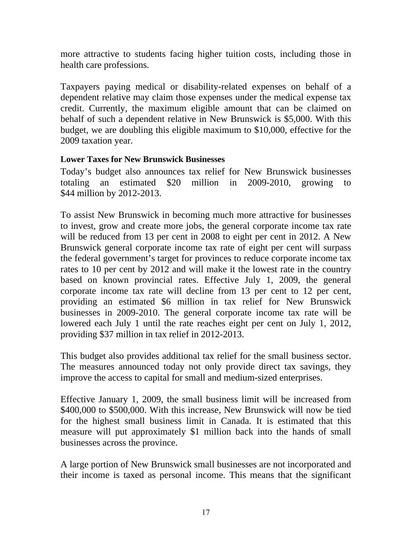<span id="page-16-0"></span>more attractive to students facing higher tuition costs, including those in health care professions.

Taxpayers paying medical or disability-related expenses on behalf of a dependent relative may claim those expenses under the medical expense tax credit. Currently, the maximum eligible amount that can be claimed on behalf of such a dependent relative in New Brunswick is \$5,000. With this budget, we are doubling this eligible maximum to \$10,000, effective for the 2009 taxation year.

#### **Lower Taxes for New Brunswick Businesses**

Today's budget also announces tax relief for New Brunswick businesses totaling an estimated \$20 million in 2009-2010, growing to \$44 million by 2012-2013.

To assist New Brunswick in becoming much more attractive for businesses to invest, grow and create more jobs, the general corporate income tax rate will be reduced from 13 per cent in 2008 to eight per cent in 2012. A New Brunswick general corporate income tax rate of eight per cent will surpass the federal government's target for provinces to reduce corporate income tax rates to 10 per cent by 2012 and will make it the lowest rate in the country based on known provincial rates. Effective July 1, 2009, the general corporate income tax rate will decline from 13 per cent to 12 per cent, providing an estimated \$6 million in tax relief for New Brunswick businesses in 2009-2010. The general corporate income tax rate will be lowered each July 1 until the rate reaches eight per cent on July 1, 2012, providing \$37 million in tax relief in 2012-2013.

This budget also provides additional tax relief for the small business sector. The measures announced today not only provide direct tax savings, they improve the access to capital for small and medium-sized enterprises.

Effective January 1, 2009, the small business limit will be increased from \$400,000 to \$500,000. With this increase, New Brunswick will now be tied for the highest small business limit in Canada. It is estimated that this measure will put approximately \$1 million back into the hands of small businesses across the province.

A large portion of New Brunswick small businesses are not incorporated and their income is taxed as personal income. This means that the significant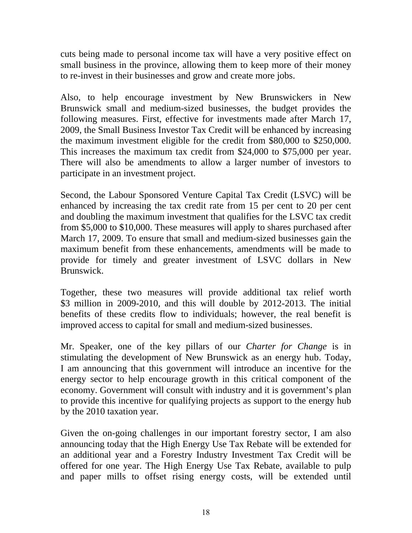cuts being made to personal income tax will have a very positive effect on small business in the province, allowing them to keep more of their money to re-invest in their businesses and grow and create more jobs.

Also, to help encourage investment by New Brunswickers in New Brunswick small and medium-sized businesses, the budget provides the following measures. First, effective for investments made after March 17, 2009, the Small Business Investor Tax Credit will be enhanced by increasing the maximum investment eligible for the credit from \$80,000 to \$250,000. This increases the maximum tax credit from \$24,000 to \$75,000 per year. There will also be amendments to allow a larger number of investors to participate in an investment project.

Second, the Labour Sponsored Venture Capital Tax Credit (LSVC) will be enhanced by increasing the tax credit rate from 15 per cent to 20 per cent and doubling the maximum investment that qualifies for the LSVC tax credit from \$5,000 to \$10,000. These measures will apply to shares purchased after March 17, 2009. To ensure that small and medium-sized businesses gain the maximum benefit from these enhancements, amendments will be made to provide for timely and greater investment of LSVC dollars in New Brunswick.

Together, these two measures will provide additional tax relief worth \$3 million in 2009-2010, and this will double by 2012-2013. The initial benefits of these credits flow to individuals; however, the real benefit is improved access to capital for small and medium-sized businesses.

Mr. Speaker, one of the key pillars of our *Charter for Change* is in stimulating the development of New Brunswick as an energy hub. Today, I am announcing that this government will introduce an incentive for the energy sector to help encourage growth in this critical component of the economy. Government will consult with industry and it is government's plan to provide this incentive for qualifying projects as support to the energy hub by the 2010 taxation year.

Given the on-going challenges in our important forestry sector, I am also announcing today that the High Energy Use Tax Rebate will be extended for an additional year and a Forestry Industry Investment Tax Credit will be offered for one year. The High Energy Use Tax Rebate, available to pulp and paper mills to offset rising energy costs, will be extended until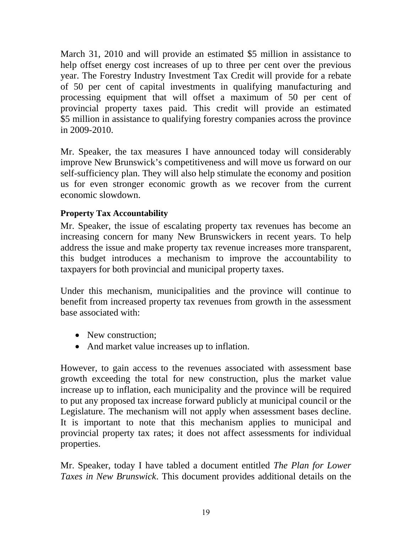<span id="page-18-0"></span>March 31, 2010 and will provide an estimated \$5 million in assistance to help offset energy cost increases of up to three per cent over the previous year. The Forestry Industry Investment Tax Credit will provide for a rebate of 50 per cent of capital investments in qualifying manufacturing and processing equipment that will offset a maximum of 50 per cent of provincial property taxes paid. This credit will provide an estimated \$5 million in assistance to qualifying forestry companies across the province in 2009-2010.

Mr. Speaker, the tax measures I have announced today will considerably improve New Brunswick's competitiveness and will move us forward on our self-sufficiency plan. They will also help stimulate the economy and position us for even stronger economic growth as we recover from the current economic slowdown.

# **Property Tax Accountability**

Mr. Speaker, the issue of escalating property tax revenues has become an increasing concern for many New Brunswickers in recent years. To help address the issue and make property tax revenue increases more transparent, this budget introduces a mechanism to improve the accountability to taxpayers for both provincial and municipal property taxes.

Under this mechanism, municipalities and the province will continue to benefit from increased property tax revenues from growth in the assessment base associated with:

- New construction;
- And market value increases up to inflation.

However, to gain access to the revenues associated with assessment base growth exceeding the total for new construction, plus the market value increase up to inflation, each municipality and the province will be required to put any proposed tax increase forward publicly at municipal council or the Legislature. The mechanism will not apply when assessment bases decline. It is important to note that this mechanism applies to municipal and provincial property tax rates; it does not affect assessments for individual properties.

Mr. Speaker, today I have tabled a document entitled *The Plan for Lower Taxes in New Brunswick*. This document provides additional details on the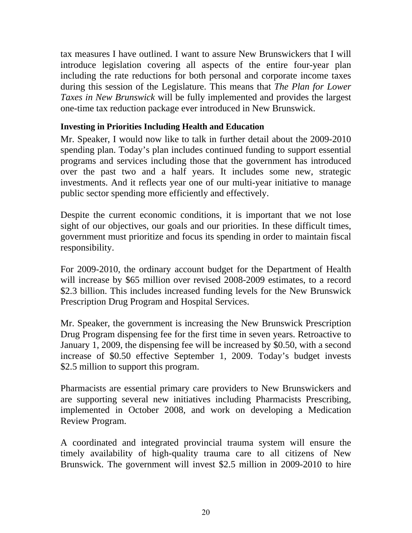<span id="page-19-0"></span>tax measures I have outlined. I want to assure New Brunswickers that I will introduce legislation covering all aspects of the entire four-year plan including the rate reductions for both personal and corporate income taxes during this session of the Legislature. This means that *The Plan for Lower Taxes in New Brunswick* will be fully implemented and provides the largest one-time tax reduction package ever introduced in New Brunswick.

#### **Investing in Priorities Including Health and Education**

Mr. Speaker, I would now like to talk in further detail about the 2009-2010 spending plan. Today's plan includes continued funding to support essential programs and services including those that the government has introduced over the past two and a half years. It includes some new, strategic investments. And it reflects year one of our multi-year initiative to manage public sector spending more efficiently and effectively.

Despite the current economic conditions, it is important that we not lose sight of our objectives, our goals and our priorities. In these difficult times, government must prioritize and focus its spending in order to maintain fiscal responsibility.

For 2009-2010, the ordinary account budget for the Department of Health will increase by \$65 million over revised 2008-2009 estimates, to a record \$2.3 billion. This includes increased funding levels for the New Brunswick Prescription Drug Program and Hospital Services.

Mr. Speaker, the government is increasing the New Brunswick Prescription Drug Program dispensing fee for the first time in seven years. Retroactive to January 1, 2009, the dispensing fee will be increased by \$0.50, with a second increase of \$0.50 effective September 1, 2009. Today's budget invests \$2.5 million to support this program.

Pharmacists are essential primary care providers to New Brunswickers and are supporting several new initiatives including Pharmacists Prescribing, implemented in October 2008, and work on developing a Medication Review Program.

A coordinated and integrated provincial trauma system will ensure the timely availability of high-quality trauma care to all citizens of New Brunswick. The government will invest \$2.5 million in 2009-2010 to hire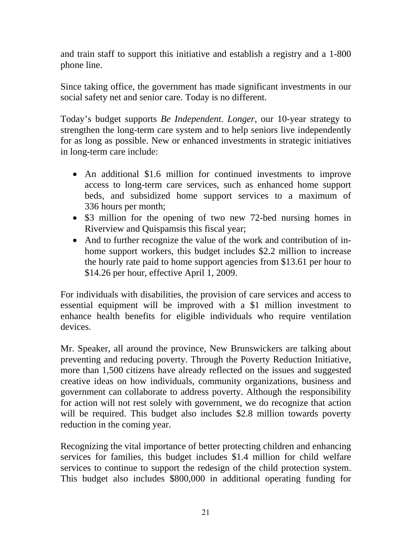and train staff to support this initiative and establish a registry and a 1-800 phone line.

Since taking office, the government has made significant investments in our social safety net and senior care. Today is no different.

Today's budget supports *Be Independent. Longer*, our 10-year strategy to strengthen the long-term care system and to help seniors live independently for as long as possible. New or enhanced investments in strategic initiatives in long-term care include:

- An additional \$1.6 million for continued investments to improve access to long-term care services, such as enhanced home support beds, and subsidized home support services to a maximum of 336 hours per month;
- \$3 million for the opening of two new 72-bed nursing homes in Riverview and Quispamsis this fiscal year;
- And to further recognize the value of the work and contribution of inhome support workers, this budget includes \$2.2 million to increase the hourly rate paid to home support agencies from \$13.61 per hour to \$14.26 per hour, effective April 1, 2009.

For individuals with disabilities, the provision of care services and access to essential equipment will be improved with a \$1 million investment to enhance health benefits for eligible individuals who require ventilation devices.

Mr. Speaker, all around the province, New Brunswickers are talking about preventing and reducing poverty. Through the Poverty Reduction Initiative, more than 1,500 citizens have already reflected on the issues and suggested creative ideas on how individuals, community organizations, business and government can collaborate to address poverty. Although the responsibility for action will not rest solely with government, we do recognize that action will be required. This budget also includes \$2.8 million towards poverty reduction in the coming year.

Recognizing the vital importance of better protecting children and enhancing services for families, this budget includes \$1.4 million for child welfare services to continue to support the redesign of the child protection system. This budget also includes \$800,000 in additional operating funding for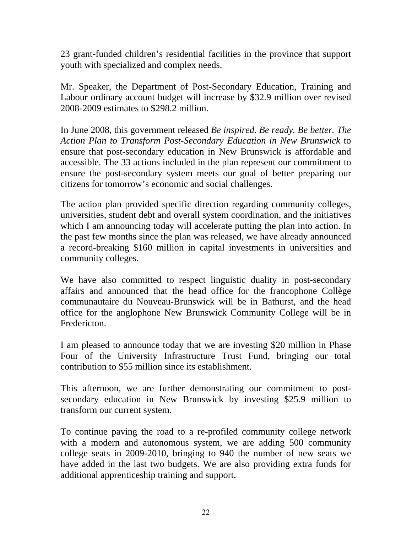23 grant-funded children's residential facilities in the province that support youth with specialized and complex needs.

Mr. Speaker, the Department of Post-Secondary Education, Training and Labour ordinary account budget will increase by \$32.9 million over revised 2008-2009 estimates to \$298.2 million.

In June 2008, this government released *Be inspired. Be ready. Be better. The Action Plan to Transform Post-Secondary Education in New Brunswick* to ensure that post-secondary education in New Brunswick is affordable and accessible. The 33 actions included in the plan represent our commitment to ensure the post-secondary system meets our goal of better preparing our citizens for tomorrow's economic and social challenges.

The action plan provided specific direction regarding community colleges, universities, student debt and overall system coordination, and the initiatives which I am announcing today will accelerate putting the plan into action. In the past few months since the plan was released, we have already announced a record-breaking \$160 million in capital investments in universities and community colleges.

We have also committed to respect linguistic duality in post-secondary affairs and announced that the head office for the francophone Collège communautaire du Nouveau-Brunswick will be in Bathurst, and the head office for the anglophone New Brunswick Community College will be in Fredericton.

I am pleased to announce today that we are investing \$20 million in Phase Four of the University Infrastructure Trust Fund, bringing our total contribution to \$55 million since its establishment.

This afternoon, we are further demonstrating our commitment to postsecondary education in New Brunswick by investing \$25.9 million to transform our current system.

To continue paving the road to a re-profiled community college network with a modern and autonomous system, we are adding 500 community college seats in 2009-2010, bringing to 940 the number of new seats we have added in the last two budgets. We are also providing extra funds for additional apprenticeship training and support.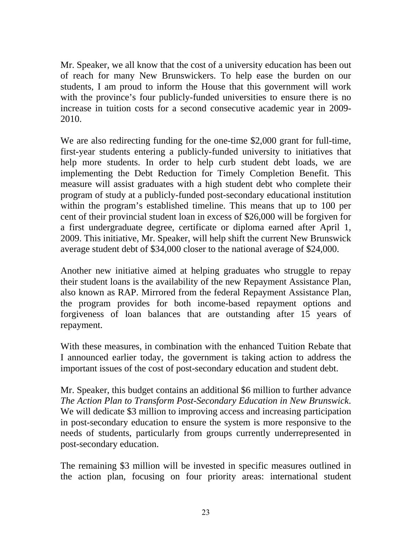Mr. Speaker, we all know that the cost of a university education has been out of reach for many New Brunswickers. To help ease the burden on our students, I am proud to inform the House that this government will work with the province's four publicly-funded universities to ensure there is no increase in tuition costs for a second consecutive academic year in 2009- 2010.

We are also redirecting funding for the one-time \$2,000 grant for full-time, first-year students entering a publicly-funded university to initiatives that help more students. In order to help curb student debt loads, we are implementing the Debt Reduction for Timely Completion Benefit. This measure will assist graduates with a high student debt who complete their program of study at a publicly-funded post-secondary educational institution within the program's established timeline. This means that up to 100 per cent of their provincial student loan in excess of \$26,000 will be forgiven for a first undergraduate degree, certificate or diploma earned after April 1, 2009. This initiative, Mr. Speaker, will help shift the current New Brunswick average student debt of \$34,000 closer to the national average of \$24,000.

Another new initiative aimed at helping graduates who struggle to repay their student loans is the availability of the new Repayment Assistance Plan, also known as RAP. Mirrored from the federal Repayment Assistance Plan, the program provides for both income-based repayment options and forgiveness of loan balances that are outstanding after 15 years of repayment.

With these measures, in combination with the enhanced Tuition Rebate that I announced earlier today, the government is taking action to address the important issues of the cost of post-secondary education and student debt.

Mr. Speaker, this budget contains an additional \$6 million to further advance *The Action Plan to Transform Post-Secondary Education in New Brunswick*. We will dedicate \$3 million to improving access and increasing participation in post-secondary education to ensure the system is more responsive to the needs of students, particularly from groups currently underrepresented in post-secondary education.

The remaining \$3 million will be invested in specific measures outlined in the action plan, focusing on four priority areas: international student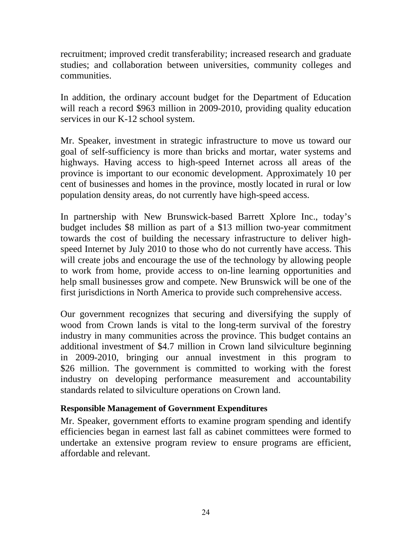<span id="page-23-0"></span>recruitment; improved credit transferability; increased research and graduate studies; and collaboration between universities, community colleges and communities.

In addition, the ordinary account budget for the Department of Education will reach a record \$963 million in 2009-2010, providing quality education services in our K-12 school system.

Mr. Speaker, investment in strategic infrastructure to move us toward our goal of self-sufficiency is more than bricks and mortar, water systems and highways. Having access to high-speed Internet across all areas of the province is important to our economic development. Approximately 10 per cent of businesses and homes in the province, mostly located in rural or low population density areas, do not currently have high-speed access.

In partnership with New Brunswick-based Barrett Xplore Inc., today's budget includes \$8 million as part of a \$13 million two-year commitment towards the cost of building the necessary infrastructure to deliver highspeed Internet by July 2010 to those who do not currently have access. This will create jobs and encourage the use of the technology by allowing people to work from home, provide access to on-line learning opportunities and help small businesses grow and compete. New Brunswick will be one of the first jurisdictions in North America to provide such comprehensive access.

Our government recognizes that securing and diversifying the supply of wood from Crown lands is vital to the long-term survival of the forestry industry in many communities across the province. This budget contains an additional investment of \$4.7 million in Crown land silviculture beginning in 2009-2010, bringing our annual investment in this program to \$26 million. The government is committed to working with the forest industry on developing performance measurement and accountability standards related to silviculture operations on Crown land.

# **Responsible Management of Government Expenditures**

Mr. Speaker, government efforts to examine program spending and identify efficiencies began in earnest last fall as cabinet committees were formed to undertake an extensive program review to ensure programs are efficient, affordable and relevant.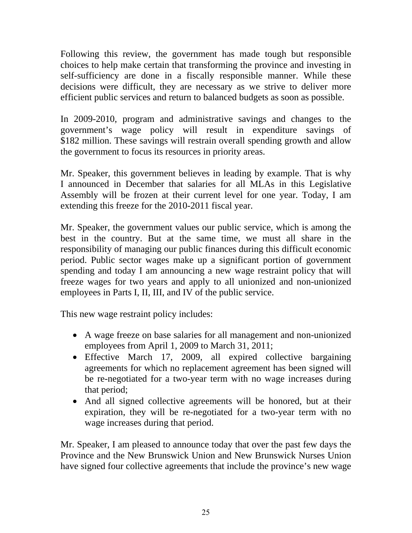Following this review, the government has made tough but responsible choices to help make certain that transforming the province and investing in self-sufficiency are done in a fiscally responsible manner. While these decisions were difficult, they are necessary as we strive to deliver more efficient public services and return to balanced budgets as soon as possible.

In 2009-2010, program and administrative savings and changes to the government's wage policy will result in expenditure savings of \$182 million. These savings will restrain overall spending growth and allow the government to focus its resources in priority areas.

Mr. Speaker, this government believes in leading by example. That is why I announced in December that salaries for all MLAs in this Legislative Assembly will be frozen at their current level for one year. Today, I am extending this freeze for the 2010-2011 fiscal year.

Mr. Speaker, the government values our public service, which is among the best in the country. But at the same time, we must all share in the responsibility of managing our public finances during this difficult economic period. Public sector wages make up a significant portion of government spending and today I am announcing a new wage restraint policy that will freeze wages for two years and apply to all unionized and non-unionized employees in Parts I, II, III, and IV of the public service.

This new wage restraint policy includes:

- A wage freeze on base salaries for all management and non-unionized employees from April 1, 2009 to March 31, 2011;
- Effective March 17, 2009, all expired collective bargaining agreements for which no replacement agreement has been signed will be re-negotiated for a two-year term with no wage increases during that period;
- And all signed collective agreements will be honored, but at their expiration, they will be re-negotiated for a two-year term with no wage increases during that period.

Mr. Speaker, I am pleased to announce today that over the past few days the Province and the New Brunswick Union and New Brunswick Nurses Union have signed four collective agreements that include the province's new wage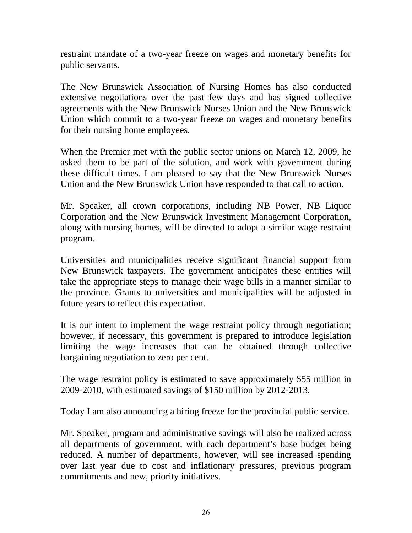restraint mandate of a two-year freeze on wages and monetary benefits for public servants.

The New Brunswick Association of Nursing Homes has also conducted extensive negotiations over the past few days and has signed collective agreements with the New Brunswick Nurses Union and the New Brunswick Union which commit to a two-year freeze on wages and monetary benefits for their nursing home employees.

When the Premier met with the public sector unions on March 12, 2009, he asked them to be part of the solution, and work with government during these difficult times. I am pleased to say that the New Brunswick Nurses Union and the New Brunswick Union have responded to that call to action.

Mr. Speaker, all crown corporations, including NB Power, NB Liquor Corporation and the New Brunswick Investment Management Corporation, along with nursing homes, will be directed to adopt a similar wage restraint program.

Universities and municipalities receive significant financial support from New Brunswick taxpayers. The government anticipates these entities will take the appropriate steps to manage their wage bills in a manner similar to the province. Grants to universities and municipalities will be adjusted in future years to reflect this expectation.

It is our intent to implement the wage restraint policy through negotiation; however, if necessary, this government is prepared to introduce legislation limiting the wage increases that can be obtained through collective bargaining negotiation to zero per cent.

The wage restraint policy is estimated to save approximately \$55 million in 2009-2010, with estimated savings of \$150 million by 2012-2013.

Today I am also announcing a hiring freeze for the provincial public service.

Mr. Speaker, program and administrative savings will also be realized across all departments of government, with each department's base budget being reduced. A number of departments, however, will see increased spending over last year due to cost and inflationary pressures, previous program commitments and new, priority initiatives.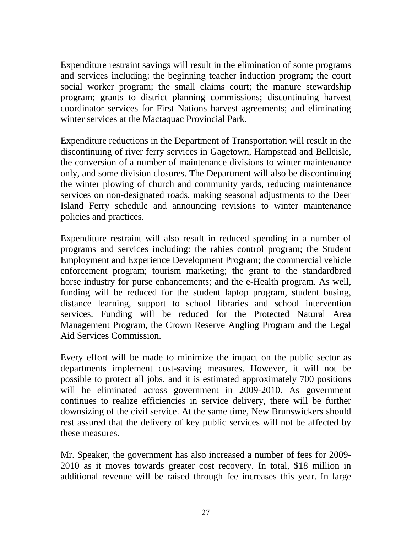Expenditure restraint savings will result in the elimination of some programs and services including: the beginning teacher induction program; the court social worker program; the small claims court; the manure stewardship program; grants to district planning commissions; discontinuing harvest coordinator services for First Nations harvest agreements; and eliminating winter services at the Mactaquac Provincial Park.

Expenditure reductions in the Department of Transportation will result in the discontinuing of river ferry services in Gagetown, Hampstead and Belleisle, the conversion of a number of maintenance divisions to winter maintenance only, and some division closures. The Department will also be discontinuing the winter plowing of church and community yards, reducing maintenance services on non-designated roads, making seasonal adjustments to the Deer Island Ferry schedule and announcing revisions to winter maintenance policies and practices.

Expenditure restraint will also result in reduced spending in a number of programs and services including: the rabies control program; the Student Employment and Experience Development Program; the commercial vehicle enforcement program; tourism marketing; the grant to the standardbred horse industry for purse enhancements; and the e-Health program. As well, funding will be reduced for the student laptop program, student busing, distance learning, support to school libraries and school intervention services. Funding will be reduced for the Protected Natural Area Management Program, the Crown Reserve Angling Program and the Legal Aid Services Commission.

Every effort will be made to minimize the impact on the public sector as departments implement cost-saving measures. However, it will not be possible to protect all jobs, and it is estimated approximately 700 positions will be eliminated across government in 2009-2010. As government continues to realize efficiencies in service delivery, there will be further downsizing of the civil service. At the same time, New Brunswickers should rest assured that the delivery of key public services will not be affected by these measures.

Mr. Speaker, the government has also increased a number of fees for 2009- 2010 as it moves towards greater cost recovery. In total, \$18 million in additional revenue will be raised through fee increases this year. In large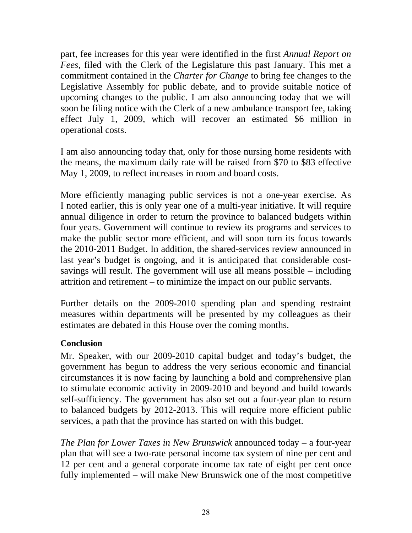<span id="page-27-0"></span>part, fee increases for this year were identified in the first *Annual Report on Fees,* filed with the Clerk of the Legislature this past January. This met a commitment contained in the *Charter for Change* to bring fee changes to the Legislative Assembly for public debate, and to provide suitable notice of upcoming changes to the public. I am also announcing today that we will soon be filing notice with the Clerk of a new ambulance transport fee, taking effect July 1, 2009, which will recover an estimated \$6 million in operational costs.

I am also announcing today that, only for those nursing home residents with the means, the maximum daily rate will be raised from \$70 to \$83 effective May 1, 2009, to reflect increases in room and board costs.

More efficiently managing public services is not a one-year exercise. As I noted earlier, this is only year one of a multi-year initiative. It will require annual diligence in order to return the province to balanced budgets within four years. Government will continue to review its programs and services to make the public sector more efficient, and will soon turn its focus towards the 2010-2011 Budget. In addition, the shared-services review announced in last year's budget is ongoing, and it is anticipated that considerable costsavings will result. The government will use all means possible – including attrition and retirement – to minimize the impact on our public servants.

Further details on the 2009-2010 spending plan and spending restraint measures within departments will be presented by my colleagues as their estimates are debated in this House over the coming months.

# **Conclusion**

Mr. Speaker, with our 2009-2010 capital budget and today's budget, the government has begun to address the very serious economic and financial circumstances it is now facing by launching a bold and comprehensive plan to stimulate economic activity in 2009-2010 and beyond and build towards self-sufficiency. The government has also set out a four-year plan to return to balanced budgets by 2012-2013. This will require more efficient public services, a path that the province has started on with this budget.

*The Plan for Lower Taxes in New Brunswick* announced today – a four-year plan that will see a two-rate personal income tax system of nine per cent and 12 per cent and a general corporate income tax rate of eight per cent once fully implemented – will make New Brunswick one of the most competitive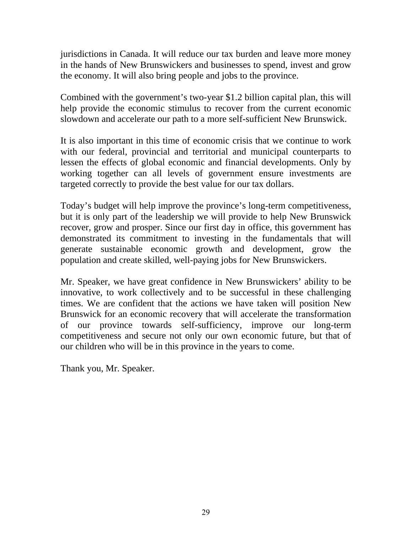jurisdictions in Canada. It will reduce our tax burden and leave more money in the hands of New Brunswickers and businesses to spend, invest and grow the economy. It will also bring people and jobs to the province.

Combined with the government's two-year \$1.2 billion capital plan, this will help provide the economic stimulus to recover from the current economic slowdown and accelerate our path to a more self-sufficient New Brunswick.

It is also important in this time of economic crisis that we continue to work with our federal, provincial and territorial and municipal counterparts to lessen the effects of global economic and financial developments. Only by working together can all levels of government ensure investments are targeted correctly to provide the best value for our tax dollars.

Today's budget will help improve the province's long-term competitiveness, but it is only part of the leadership we will provide to help New Brunswick recover, grow and prosper. Since our first day in office, this government has demonstrated its commitment to investing in the fundamentals that will generate sustainable economic growth and development, grow the population and create skilled, well-paying jobs for New Brunswickers.

Mr. Speaker, we have great confidence in New Brunswickers' ability to be innovative, to work collectively and to be successful in these challenging times. We are confident that the actions we have taken will position New Brunswick for an economic recovery that will accelerate the transformation of our province towards self-sufficiency, improve our long-term competitiveness and secure not only our own economic future, but that of our children who will be in this province in the years to come.

Thank you, Mr. Speaker.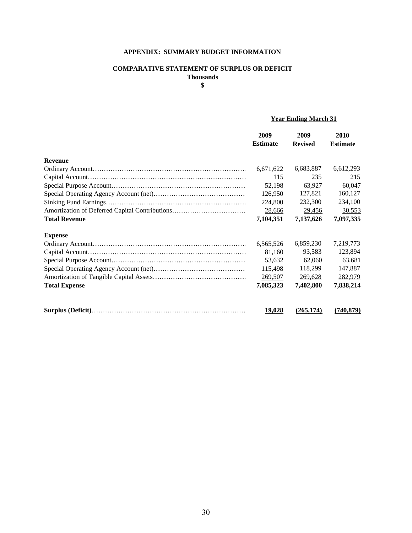#### **APPENDIX: SUMMARY BUDGET INFORMATION**

#### **COMPARATIVE STATEMENT OF SURPLUS OR DEFICIT Thousands**

**\$**

#### **Year Ending March 31**

|                      | 2009<br><b>Estimate</b> | 2009<br><b>Revised</b> | 2010<br><b>Estimate</b> |
|----------------------|-------------------------|------------------------|-------------------------|
| <b>Revenue</b>       |                         |                        |                         |
|                      | 6,671,622               | 6,683,887              | 6,612,293               |
|                      | 115                     | 235                    | 215                     |
|                      | 52,198                  | 63,927                 | 60,047                  |
|                      | 126,950                 | 127,821                | 160,127                 |
|                      | 224,800                 | 232,300                | 234,100                 |
|                      | 28,666                  | 29,456                 | 30,553                  |
| <b>Total Revenue</b> | 7,104,351               | 7,137,626              | 7,097,335               |
| <b>Expense</b>       |                         |                        |                         |
|                      | 6,565,526               | 6,859,230              | 7,219,773               |
|                      | 81,160                  | 93,583                 | 123,894                 |
|                      | 53,632                  | 62,060                 | 63,681                  |
|                      | 115,498                 | 118,299                | 147,887                 |
|                      | 269,507                 | 269,628                | 282,979                 |
| <b>Total Expense</b> | 7,085,323               | 7,402,800              | 7,838,214               |
|                      | <u> 19,028</u>          | (265, 174)             | (740, 879)              |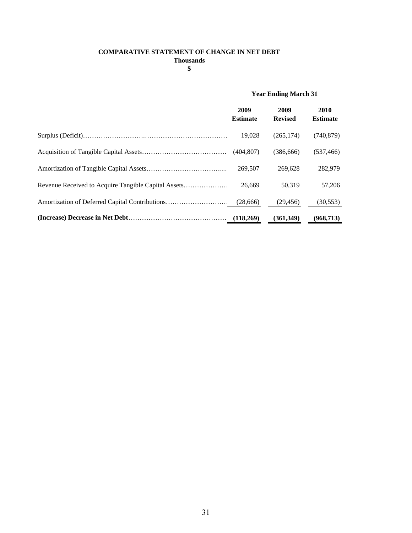#### **COMPARATIVE STATEMENT OF CHANGE IN NET DEBT**

**Thousands**

**\$**

| <b>Year Ending March 31</b> |                        |                         |
|-----------------------------|------------------------|-------------------------|
| 2009<br><b>Estimate</b>     | 2009<br><b>Revised</b> | 2010<br><b>Estimate</b> |
| 19,028                      | (265, 174)             | (740, 879)              |
| (404.807)                   | (386, 666)             | (537, 466)              |
| 269,507                     | 269.628                | 282,979                 |
| 26.669                      | 50,319                 | 57,206                  |
|                             | (29, 456)              | (30, 553)               |
|                             | (361,349)              | (968, 713)              |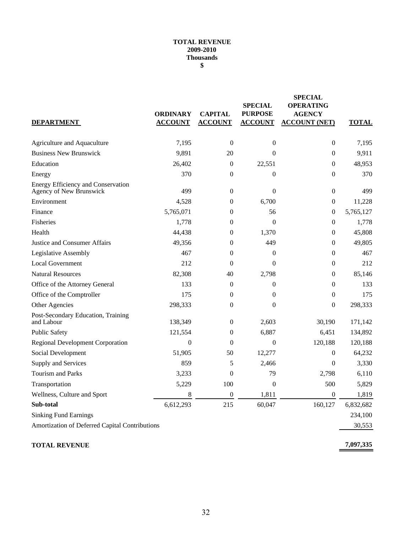#### **TOTAL REVENUE 2009-2010 Thousands \$**

| <b>DEPARTMENT</b>                                             | <b>ORDINARY</b><br><b>ACCOUNT</b> | <b>CAPITAL</b><br><b>ACCOUNT</b> | <b>SPECIAL</b><br><b>PURPOSE</b><br><b>ACCOUNT</b> | <b>SPECIAL</b><br><b>OPERATING</b><br><b>AGENCY</b><br><b>ACCOUNT (NET)</b> | <b>TOTAL</b> |
|---------------------------------------------------------------|-----------------------------------|----------------------------------|----------------------------------------------------|-----------------------------------------------------------------------------|--------------|
| Agriculture and Aquaculture                                   | 7,195                             | $\boldsymbol{0}$                 | $\boldsymbol{0}$                                   | $\boldsymbol{0}$                                                            | 7,195        |
| <b>Business New Brunswick</b>                                 | 9,891                             | 20                               | $\Omega$                                           | $\theta$                                                                    | 9,911        |
| Education                                                     | 26,402                            | $\mathbf{0}$                     | 22,551                                             | $\theta$                                                                    | 48,953       |
| Energy                                                        | 370                               | $\mathbf{0}$                     | $\boldsymbol{0}$                                   | $\theta$                                                                    | 370          |
| Energy Efficiency and Conservation<br>Agency of New Brunswick | 499                               | $\boldsymbol{0}$                 | $\theta$                                           | $\boldsymbol{0}$                                                            | 499          |
| Environment                                                   | 4,528                             | $\overline{0}$                   | 6,700                                              | $\theta$                                                                    | 11,228       |
| Finance                                                       | 5,765,071                         | 0                                | 56                                                 | $\boldsymbol{0}$                                                            | 5,765,127    |
| Fisheries                                                     | 1,778                             | $\overline{0}$                   | $\overline{0}$                                     | $\boldsymbol{0}$                                                            | 1,778        |
| Health                                                        | 44,438                            | $\mathbf{0}$                     | 1,370                                              | $\theta$                                                                    | 45,808       |
| Justice and Consumer Affairs                                  | 49,356                            | $\mathbf{0}$                     | 449                                                | $\theta$                                                                    | 49,805       |
| Legislative Assembly                                          | 467                               | $\theta$                         | $\overline{0}$                                     | $\theta$                                                                    | 467          |
| <b>Local Government</b>                                       | 212                               | $\Omega$                         | $\theta$                                           | $\theta$                                                                    | 212          |
| <b>Natural Resources</b>                                      | 82,308                            | 40                               | 2,798                                              | $\theta$                                                                    | 85,146       |
| Office of the Attorney General                                | 133                               | $\mathbf{0}$                     | $\boldsymbol{0}$                                   | $\theta$                                                                    | 133          |
| Office of the Comptroller                                     | 175                               | $\boldsymbol{0}$                 | $\boldsymbol{0}$                                   | $\boldsymbol{0}$                                                            | 175          |
| Other Agencies                                                | 298,333                           | $\mathbf{0}$                     | $\overline{0}$                                     | $\theta$                                                                    | 298,333      |
| Post-Secondary Education, Training<br>and Labour              | 138,349                           | $\boldsymbol{0}$                 | 2,603                                              | 30,190                                                                      | 171,142      |
| <b>Public Safety</b>                                          | 121,554                           | $\theta$                         | 6,887                                              | 6,451                                                                       | 134,892      |
| <b>Regional Development Corporation</b>                       | $\boldsymbol{0}$                  | $\mathbf{0}$                     | $\boldsymbol{0}$                                   | 120,188                                                                     | 120,188      |
| Social Development                                            | 51,905                            | 50                               | 12,277                                             | $\theta$                                                                    | 64,232       |
| Supply and Services                                           | 859                               | 5                                | 2,466                                              | $\theta$                                                                    | 3,330        |
| <b>Tourism and Parks</b>                                      | 3,233                             | $\overline{0}$                   | 79                                                 | 2,798                                                                       | 6,110        |
| Transportation                                                | 5,229                             | 100                              | $\boldsymbol{0}$                                   | 500                                                                         | 5,829        |
| Wellness, Culture and Sport                                   | 8                                 | $\boldsymbol{0}$                 | 1,811                                              | $\boldsymbol{0}$                                                            | 1,819        |
| Sub-total                                                     | 6,612,293                         | 215                              | 60,047                                             | 160,127                                                                     | 6,832,682    |
| <b>Sinking Fund Earnings</b>                                  |                                   |                                  |                                                    |                                                                             | 234,100      |
| Amortization of Deferred Capital Contributions                |                                   |                                  |                                                    |                                                                             | 30,553       |
|                                                               |                                   |                                  |                                                    |                                                                             |              |

#### **TOTAL REVENUE**

**7,097,335**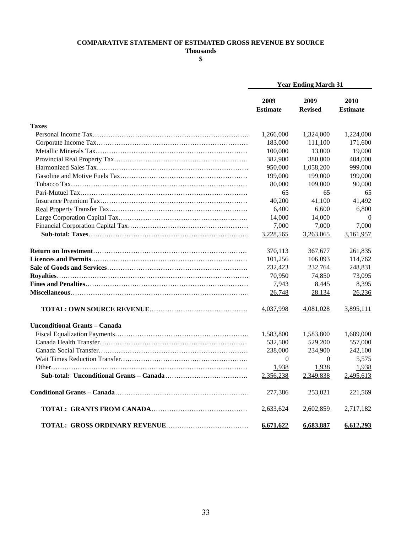#### **COMPARATIVE STATEMENT OF ESTIMATED GROSS REVENUE BY SOURCE**

**Thousands \$**

|                                      |                         | <b>Year Ending March 31</b> |                         |  |
|--------------------------------------|-------------------------|-----------------------------|-------------------------|--|
|                                      | 2009<br><b>Estimate</b> | 2009<br><b>Revised</b>      | 2010<br><b>Estimate</b> |  |
| <b>Taxes</b>                         |                         |                             |                         |  |
|                                      | 1,266,000               | 1,324,000                   | 1,224,000               |  |
|                                      | 183,000                 | 111,100                     | 171,600                 |  |
|                                      | 100,000                 | 13,000                      | 19,000                  |  |
|                                      | 382,900                 | 380,000                     | 404,000                 |  |
|                                      | 950,000                 | 1,058,200                   | 999,000                 |  |
|                                      | 199,000                 | 199,000                     | 199,000                 |  |
|                                      | 80,000                  | 109,000                     | 90,000                  |  |
|                                      | 65                      | 65                          | 65                      |  |
|                                      | 40,200                  | 41,100                      | 41,492                  |  |
|                                      | 6,400                   | 6,600                       | 6,800                   |  |
|                                      | 14,000                  | 14,000                      | $\Omega$                |  |
|                                      | 7,000                   | 7,000                       | 7,000                   |  |
|                                      | 3,228,565               | 3,263,065                   | 3,161,957               |  |
|                                      | 370,113                 | 367,677                     | 261,835                 |  |
|                                      | 101,256                 | 106,093                     | 114,762                 |  |
|                                      | 232,423                 | 232,764                     | 248,831                 |  |
|                                      | 70,950                  | 74,850                      | 73,095                  |  |
|                                      | 7,943                   | 8,445                       | 8,395                   |  |
|                                      | 26,748                  | 28,134                      | 26,236                  |  |
|                                      | 4,037,998               | <u>4,081,028</u>            | 3,895,111               |  |
| <b>Unconditional Grants - Canada</b> |                         |                             |                         |  |
|                                      | 1,583,800               | 1,583,800                   | 1,689,000               |  |
|                                      | 532,500                 | 529,200                     | 557,000                 |  |
|                                      | 238,000                 | 234,900                     | 242,100                 |  |
|                                      | $\overline{0}$          | $\Omega$                    | 5,575                   |  |
|                                      | 1,938                   | 1,938                       | 1,938                   |  |
|                                      | 2,356,238               | 2,349,838                   | 2,495,613               |  |
|                                      | 277,386                 | 253,021                     | 221,569                 |  |
|                                      | 2,633,624               | 2,602,859                   | 2,717,182               |  |
|                                      | 6,671,622               | 6,683,887                   | 6,612,293               |  |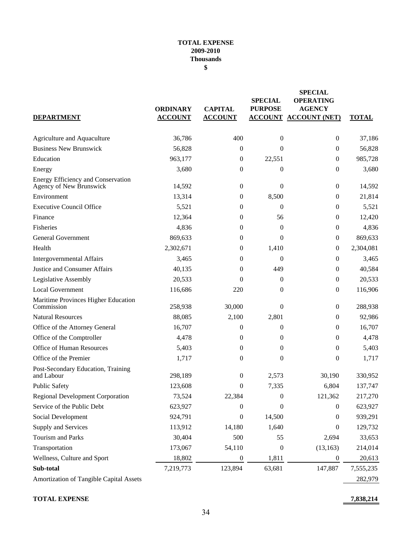#### **TOTAL EXPENSE 2009-2010 Thousands \$**

| <b>DEPARTMENT</b>                                             | <b>ORDINARY</b><br><b>ACCOUNT</b> | <b>CAPITAL</b><br><b>ACCOUNT</b> | <b>SPECIAL</b><br><b>PURPOSE</b> | <b>SPECIAL</b><br><b>OPERATING</b><br><b>AGENCY</b><br><b>ACCOUNT ACCOUNT (NET)</b> | <b>TOTAL</b> |
|---------------------------------------------------------------|-----------------------------------|----------------------------------|----------------------------------|-------------------------------------------------------------------------------------|--------------|
| Agriculture and Aquaculture                                   | 36,786                            | 400                              | $\boldsymbol{0}$                 | $\mathbf{0}$                                                                        | 37,186       |
| <b>Business New Brunswick</b>                                 | 56,828                            | 0                                | $\Omega$                         | $\theta$                                                                            | 56,828       |
| Education                                                     | 963,177                           | 0                                | 22,551                           | $\mathbf{0}$                                                                        | 985,728      |
| Energy                                                        | 3,680                             | 0                                | $\mathbf{0}$                     | $\mathbf{0}$                                                                        | 3,680        |
| Energy Efficiency and Conservation<br>Agency of New Brunswick | 14,592                            | $\boldsymbol{0}$                 | $\boldsymbol{0}$                 | $\boldsymbol{0}$                                                                    | 14,592       |
| Environment                                                   | 13,314                            | 0                                | 8,500                            | $\mathbf{0}$                                                                        | 21,814       |
| <b>Executive Council Office</b>                               | 5,521                             | 0                                | $\Omega$                         | $\mathbf{0}$                                                                        | 5,521        |
| Finance                                                       | 12,364                            | 0                                | 56                               | $\mathbf{0}$                                                                        | 12,420       |
| Fisheries                                                     | 4,836                             | 0                                | $\mathbf{0}$                     | $\mathbf{0}$                                                                        | 4,836        |
| <b>General Government</b>                                     | 869,633                           | $\mathbf{0}$                     | $\Omega$                         | $\mathbf{0}$                                                                        | 869,633      |
| Health                                                        | 2,302,671                         | 0                                | 1,410                            | $\mathbf{0}$                                                                        | 2,304,081    |
| <b>Intergovernmental Affairs</b>                              | 3,465                             | 0                                | $\theta$                         | $\mathbf{0}$                                                                        | 3,465        |
| Justice and Consumer Affairs                                  | 40,135                            | $\theta$                         | 449                              | $\mathbf{0}$                                                                        | 40,584       |
| Legislative Assembly                                          | 20,533                            | $\theta$                         | $\mathbf{0}$                     | $\mathbf{0}$                                                                        | 20,533       |
| <b>Local Government</b>                                       | 116,686                           | 220                              | $\mathbf{0}$                     | $\mathbf{0}$                                                                        | 116,906      |
| Maritime Provinces Higher Education<br>Commission             | 258,938                           | 30,000                           | $\Omega$                         | $\boldsymbol{0}$                                                                    | 288,938      |
| <b>Natural Resources</b>                                      | 88,085                            | 2,100                            | 2,801                            | $\mathbf{0}$                                                                        | 92,986       |
| Office of the Attorney General                                | 16,707                            | $\boldsymbol{0}$                 | $\mathbf{0}$                     | $\mathbf{0}$                                                                        | 16,707       |
| Office of the Comptroller                                     | 4,478                             | 0                                | $\mathbf{0}$                     | $\mathbf{0}$                                                                        | 4,478        |
| Office of Human Resources                                     | 5,403                             | 0                                | $\mathbf{0}$                     | $\boldsymbol{0}$                                                                    | 5,403        |
| Office of the Premier                                         | 1,717                             | 0                                | $\theta$                         | $\theta$                                                                            | 1,717        |
| Post-Secondary Education, Training<br>and Labour              | 298,189                           | 0                                | 2,573                            | 30,190                                                                              | 330,952      |
| <b>Public Safety</b>                                          | 123,608                           | 0                                | 7,335                            | 6,804                                                                               | 137,747      |
| Regional Development Corporation                              | 73,524                            | 22,384                           | $\boldsymbol{0}$                 | 121,362                                                                             | 217,270      |
| Service of the Public Debt                                    | 623,927                           | 0                                | 0                                | $\theta$                                                                            | 623,927      |
| Social Development                                            | 924,791                           | 0                                | 14,500                           | 0                                                                                   | 939,291      |
| Supply and Services                                           | 113,912                           | 14,180                           | 1,640                            | 0                                                                                   | 129,732      |
| Tourism and Parks                                             | 30,404                            | 500                              | 55                               | 2,694                                                                               | 33,653       |
| Transportation                                                | 173,067                           | 54,110                           | $\boldsymbol{0}$                 | (13, 163)                                                                           | 214,014      |
| Wellness, Culture and Sport                                   | 18,802                            | $\boldsymbol{0}$                 | 1,811                            | $\boldsymbol{0}$                                                                    | 20,613       |
| Sub-total                                                     | 7,219,773                         | 123,894                          | 63,681                           | 147,887                                                                             | 7,555,235    |
| Amortization of Tangible Capital Assets                       |                                   |                                  |                                  |                                                                                     | 282,979      |

**TOTAL EXPENSE 7,838,214**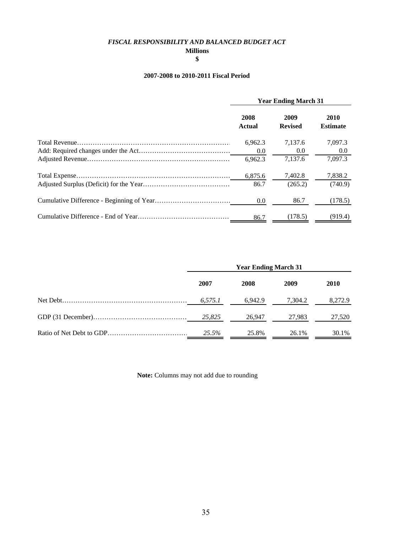#### *FISCAL RESPONSIBILITY AND BALANCED BUDGET ACT*

**Millions**

#### **\$**

#### **2007-2008 to 2010-2011 Fiscal Period**

| <b>Year Ending March 31</b> |                        |                         |  |
|-----------------------------|------------------------|-------------------------|--|
| 2008<br>Actual              | 2009<br><b>Revised</b> | 2010<br><b>Estimate</b> |  |
| 6.962.3                     | 7.137.6                | 7,097.3                 |  |
| 0.0                         | 0.0                    | 0.0                     |  |
| 6.962.3                     | 7.137.6                | 7.097.3                 |  |
| 6,875.6                     | 7,402.8                | 7,838.2                 |  |
| 86.7                        | (265.2)                | (740.9)                 |  |
| 0.0                         | 86.7                   | (178.5)                 |  |
| 86.7                        | (178.5)                | (919.4)                 |  |

| <b>Year Ending March 31</b> |         |         |             |  |
|-----------------------------|---------|---------|-------------|--|
| 2007                        | 2008    | 2009    | <b>2010</b> |  |
| 6,575.1                     | 6.942.9 | 7,304.2 | 8,272.9     |  |
| 25.825                      | 26.947  | 27.983  | 27,520      |  |
| 25.5%                       | 25.8%   | 26.1%   | 30.1%       |  |

**Note:** Columns may not add due to rounding